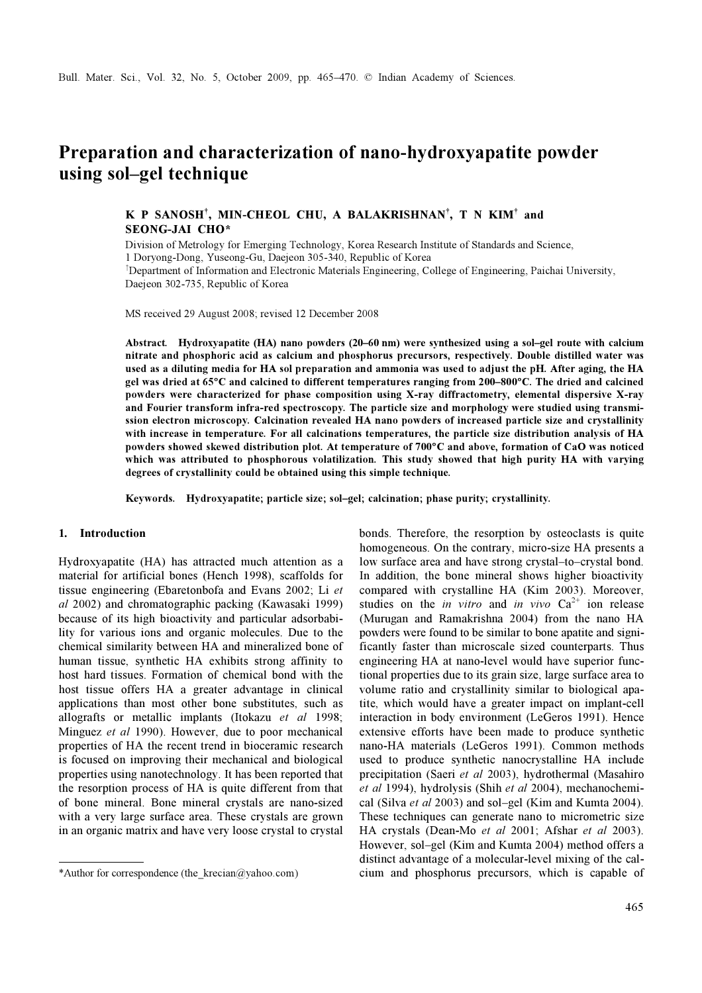# Preparation and characterization of nano-hydroxyapatite powder using sol–gel technique

# K P SANOSH<sup>†</sup>, MIN-CHEOL CHU, A BALAKRISHNAN<sup>†</sup>, T N KIM<sup>†</sup> and SEONG-JAI CHO\*

Division of Metrology for Emerging Technology, Korea Research Institute of Standards and Science, 1 Doryong-Dong, Yuseong-Gu, Daejeon 305-340, Republic of Korea

<sup>†</sup>Department of Information and Electronic Materials Engineering, College of Engineering, Paichai University, Daejeon 302-735, Republic of Korea

MS received 29 August 2008; revised 12 December 2008

Abstract. Hydroxyapatite (HA) nano powders (20–60 nm) were synthesized using a sol–gel route with calcium nitrate and phosphoric acid as calcium and phosphorus precursors, respectively. Double distilled water was used as a diluting media for HA sol preparation and ammonia was used to adjust the pH. After aging, the HA gel was dried at 65°C and calcined to different temperatures ranging from 200–800°C. The dried and calcined powders were characterized for phase composition using X-ray diffractometry, elemental dispersive X-ray and Fourier transform infra-red spectroscopy. The particle size and morphology were studied using transmission electron microscopy. Calcination revealed HA nano powders of increased particle size and crystallinity with increase in temperature. For all calcinations temperatures, the particle size distribution analysis of HA powders showed skewed distribution plot. At temperature of 700°C and above, formation of CaO was noticed which was attributed to phosphorous volatilization. This study showed that high purity HA with varying degrees of crystallinity could be obtained using this simple technique.

Keywords. Hydroxyapatite; particle size; sol–gel; calcination; phase purity; crystallinity.

# 1. Introduction

Hydroxyapatite (HA) has attracted much attention as a material for artificial bones (Hench 1998), scaffolds for tissue engineering (Ebaretonbofa and Evans 2002; Li et al 2002) and chromatographic packing (Kawasaki 1999) because of its high bioactivity and particular adsorbability for various ions and organic molecules. Due to the chemical similarity between HA and mineralized bone of human tissue, synthetic HA exhibits strong affinity to host hard tissues. Formation of chemical bond with the host tissue offers HA a greater advantage in clinical applications than most other bone substitutes, such as allografts or metallic implants (Itokazu et al 1998; Minguez et al 1990). However, due to poor mechanical properties of HA the recent trend in bioceramic research is focused on improving their mechanical and biological properties using nanotechnology. It has been reported that the resorption process of HA is quite different from that of bone mineral. Bone mineral crystals are nano-sized with a very large surface area. These crystals are grown in an organic matrix and have very loose crystal to crystal

bonds. Therefore, the resorption by osteoclasts is quite homogeneous. On the contrary, micro-size HA presents a low surface area and have strong crystal–to–crystal bond. In addition, the bone mineral shows higher bioactivity compared with crystalline HA (Kim 2003). Moreover, studies on the *in vitro* and *in vivo*  $Ca^{2+}$  ion release (Murugan and Ramakrishna 2004) from the nano HA powders were found to be similar to bone apatite and significantly faster than microscale sized counterparts. Thus engineering HA at nano-level would have superior functional properties due to its grain size, large surface area to volume ratio and crystallinity similar to biological apatite, which would have a greater impact on implant-cell interaction in body environment (LeGeros 1991). Hence extensive efforts have been made to produce synthetic nano-HA materials (LeGeros 1991). Common methods used to produce synthetic nanocrystalline HA include precipitation (Saeri et al 2003), hydrothermal (Masahiro et al 1994), hydrolysis (Shih et al 2004), mechanochemical (Silva et al 2003) and sol–gel (Kim and Kumta 2004). These techniques can generate nano to micrometric size HA crystals (Dean-Mo et al 2001; Afshar et al 2003). However, sol–gel (Kim and Kumta 2004) method offers a distinct advantage of a molecular-level mixing of the cal- \*Author for correspondence (the\_krecian@yahoo.com) cium and phosphorus precursors, which is capable of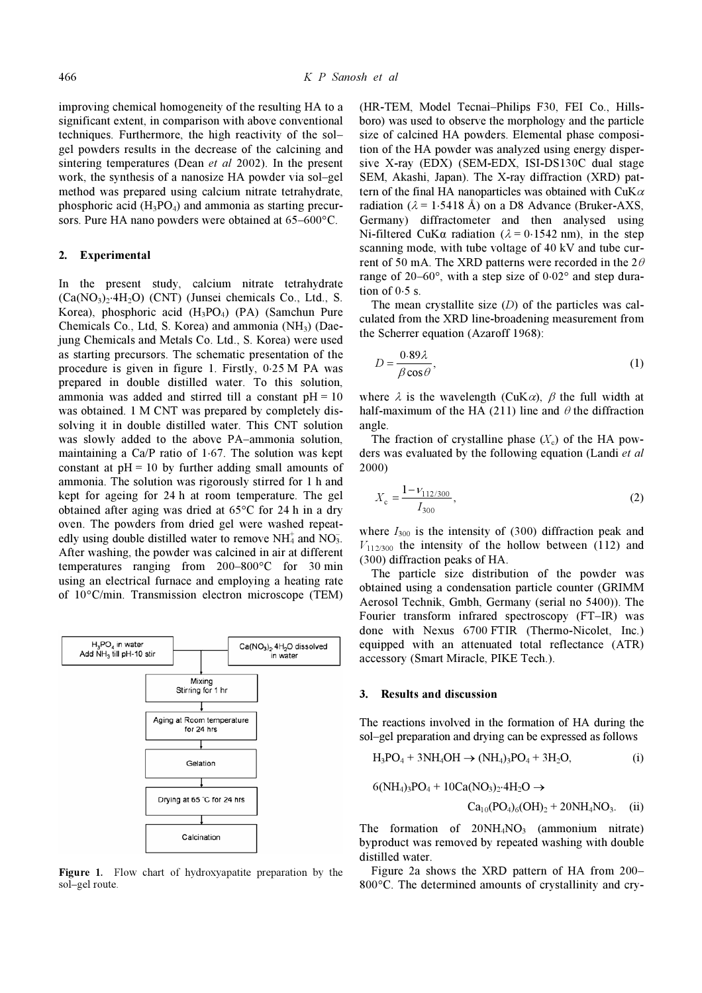improving chemical homogeneity of the resulting HA to a significant extent, in comparison with above conventional techniques. Furthermore, the high reactivity of the sol– gel powders results in the decrease of the calcining and sintering temperatures (Dean et al 2002). In the present work, the synthesis of a nanosize HA powder via sol–gel method was prepared using calcium nitrate tetrahydrate, phosphoric acid  $(H_3PO_4)$  and ammonia as starting precursors. Pure HA nano powders were obtained at 65–600°C.

## 2. Experimental

In the present study, calcium nitrate tetrahydrate  $(Ca(NO<sub>3</sub>)<sub>2</sub>·4H<sub>2</sub>O)$  (CNT) (Junsei chemicals Co., Ltd., S. Korea), phosphoric acid (H<sub>3</sub>PO<sub>4</sub>) (PA) (Samchun Pure Chemicals Co., Ltd, S. Korea) and ammonia  $(NH_3)$  (Daejung Chemicals and Metals Co. Ltd., S. Korea) were used as starting precursors. The schematic presentation of the procedure is given in figure 1. Firstly, 0⋅25 M PA was prepared in double distilled water. To this solution, ammonia was added and stirred till a constant  $pH = 10$ was obtained. 1 M CNT was prepared by completely dissolving it in double distilled water. This CNT solution was slowly added to the above PA–ammonia solution, maintaining a Ca/P ratio of 1⋅67. The solution was kept constant at  $pH = 10$  by further adding small amounts of ammonia. The solution was rigorously stirred for 1 h and kept for ageing for 24 h at room temperature. The gel obtained after aging was dried at 65°C for 24 h in a dry oven. The powders from dried gel were washed repeatedly using double distilled water to remove  $NH<sub>4</sub><sup>+</sup>$  and  $NO<sub>3</sub><sup>-</sup>$ . After washing, the powder was calcined in air at different temperatures ranging from 200–800°C for 30 min using an electrical furnace and employing a heating rate of 10°C/min. Transmission electron microscope (TEM)



Figure 1. Flow chart of hydroxyapatite preparation by the sol–gel route.

(HR-TEM, Model Tecnai–Philips F30, FEI Co., Hillsboro) was used to observe the morphology and the particle size of calcined HA powders. Elemental phase composition of the HA powder was analyzed using energy dispersive X-ray (EDX) (SEM-EDX, ISI-DS130C dual stage SEM, Akashi, Japan). The X-ray diffraction (XRD) pattern of the final HA nanoparticles was obtained with  $CuK\alpha$ radiation ( $\lambda$  = 1⋅5418 Å) on a D8 Advance (Bruker-AXS, Germany) diffractometer and then analysed using Ni-filtered CuKα radiation ( $λ = 0.1542$  nm), in the step scanning mode, with tube voltage of 40 kV and tube current of 50 mA. The XRD patterns were recorded in the  $2\theta$ range of 20–60°, with a step size of 0⋅02° and step duration of  $0.5$  s.

The mean crystallite size  $(D)$  of the particles was calculated from the XRD line-broadening measurement from the Scherrer equation (Azaroff 1968):

$$
D = \frac{0.89\lambda}{\beta \cos \theta},\tag{1}
$$

where  $\lambda$  is the wavelength (CuK $\alpha$ ),  $\beta$  the full width at half-maximum of the HA (211) line and  $\theta$  the diffraction angle.

The fraction of crystalline phase  $(X_c)$  of the HA powders was evaluated by the following equation (Landi et al 2000)

$$
X_{\rm c} = \frac{1 - \nu_{112/300}}{I_{300}},\tag{2}
$$

where  $I_{300}$  is the intensity of (300) diffraction peak and  $V_{112/300}$  the intensity of the hollow between (112) and (300) diffraction peaks of HA.

 The particle size distribution of the powder was obtained using a condensation particle counter (GRIMM Aerosol Technik, Gmbh, Germany (serial no 5400)). The Fourier transform infrared spectroscopy (FT–IR) was done with Nexus 6700 FTIR (Thermo-Nicolet, Inc.) equipped with an attenuated total reflectance (ATR) accessory (Smart Miracle, PIKE Tech.).

### 3. Results and discussion

The reactions involved in the formation of HA during the sol–gel preparation and drying can be expressed as follows

$$
H_3PO_4 + 3NH_4OH \to (NH_4)_3PO_4 + 3H_2O, \tag{i}
$$

$$
6(NH_4)_3PO_4 + 10Ca(NO_3)_2.4H_2O \rightarrow Ca_{10}(PO_4)_6(OH)_2 + 20NH_4NO_3.
$$
 (ii)

The formation of  $20NH<sub>4</sub>NO<sub>3</sub>$  (ammonium nitrate) byproduct was removed by repeated washing with double distilled water.

 Figure 2a shows the XRD pattern of HA from 200– 800°C. The determined amounts of crystallinity and cry-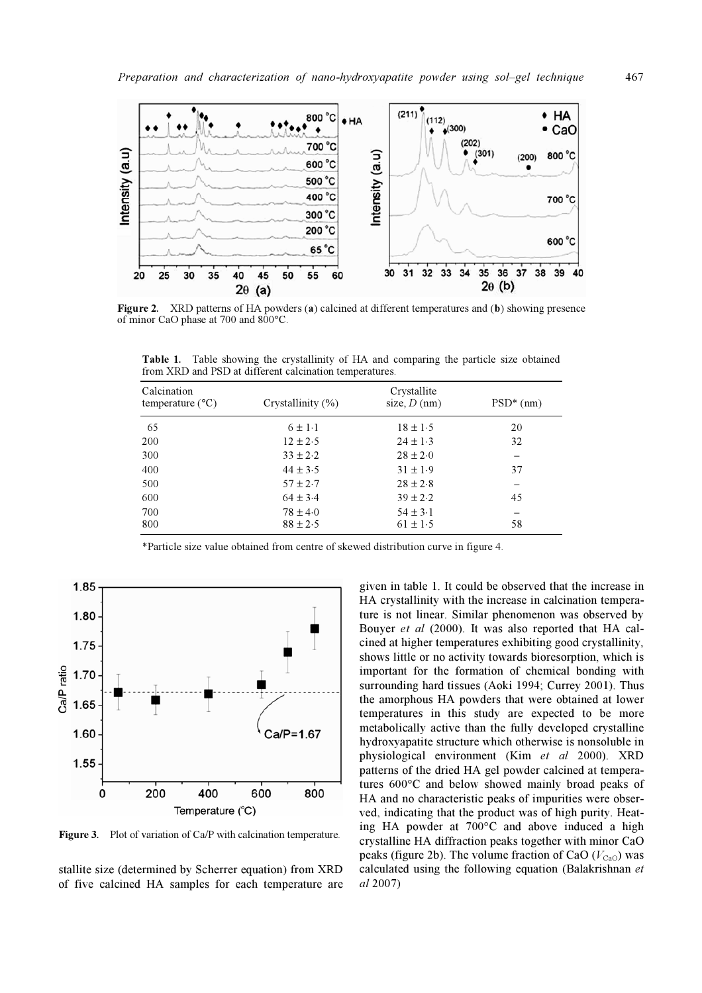

Figure 2. XRD patterns of HA powders (a) calcined at different temperatures and (b) showing presence of minor CaO phase at 700 and 800°C.

| Calcination<br>temperature $(^{\circ}C)$ | Crystallinity $(\% )$ | Crystallite<br>size, $D$ (nm) | $PSD^*$ (nm) |
|------------------------------------------|-----------------------|-------------------------------|--------------|
| 65                                       | $6 \pm 1.1$           | $18 \pm 1.5$                  | 20           |
| 200                                      | $12 \pm 2.5$          | $24 \pm 1.3$                  | 32           |
| 300                                      | $33 \pm 2.2$          | $28 \pm 2.0$                  |              |
| 400                                      | $44 \pm 3.5$          | $31 \pm 1.9$                  | 37           |
| 500                                      | $57 \pm 2.7$          | $28 \pm 2.8$                  |              |
| 600                                      | $64 \pm 3.4$          | $39 \pm 2.2$                  | 45           |
| 700                                      | $78 \pm 4.0$          | $54 \pm 3.1$                  |              |
| 800                                      | $88 \pm 2.5$          | $61 \pm 1.5$                  | 58           |

Table 1. Table showing the crystallinity of HA and comparing the particle size obtained from XRD and PSD at different calcination temperatures.

\*Particle size value obtained from centre of skewed distribution curve in figure 4.



Figure 3. Plot of variation of Ca/P with calcination temperature.

stallite size (determined by Scherrer equation) from XRD of five calcined HA samples for each temperature are given in table 1. It could be observed that the increase in HA crystallinity with the increase in calcination temperature is not linear. Similar phenomenon was observed by Bouyer et al (2000). It was also reported that HA calcined at higher temperatures exhibiting good crystallinity, shows little or no activity towards bioresorption, which is important for the formation of chemical bonding with surrounding hard tissues (Aoki 1994; Currey 2001). Thus the amorphous HA powders that were obtained at lower temperatures in this study are expected to be more metabolically active than the fully developed crystalline hydroxyapatite structure which otherwise is nonsoluble in physiological environment (Kim et al 2000). XRD patterns of the dried HA gel powder calcined at temperatures 600°C and below showed mainly broad peaks of HA and no characteristic peaks of impurities were observed, indicating that the product was of high purity. Heating HA powder at 700°C and above induced a high crystalline HA diffraction peaks together with minor CaO peaks (figure 2b). The volume fraction of CaO  $(V_{\text{CaO}})$  was calculated using the following equation (Balakrishnan et al 2007)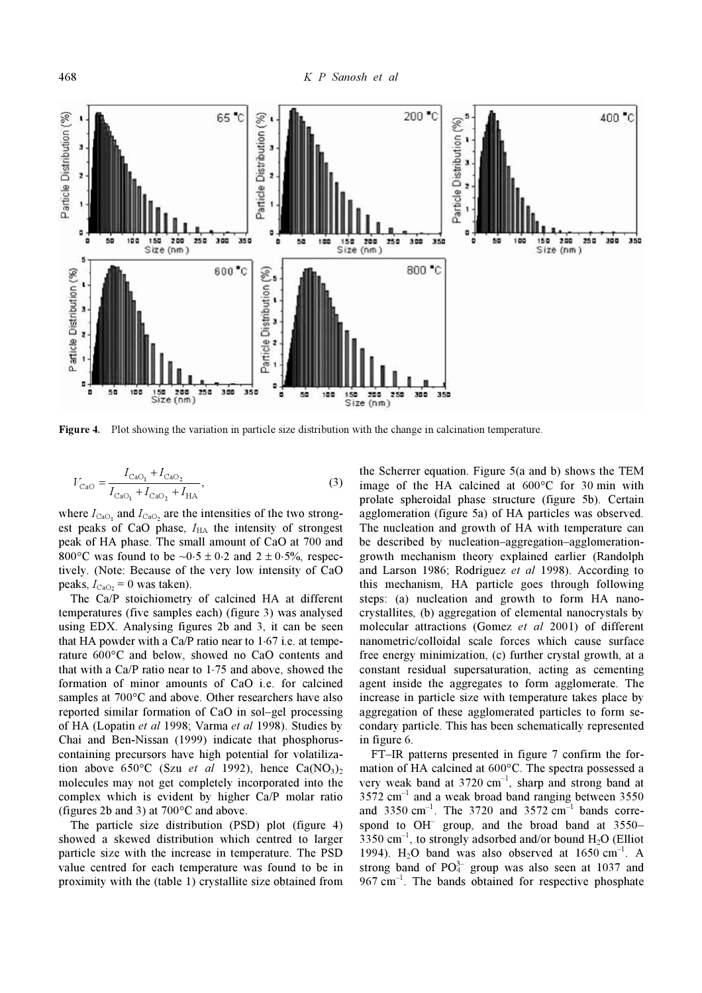

Figure 4. Plot showing the variation in particle size distribution with the change in calcination temperature.

$$
V_{\text{CaO}} = \frac{I_{\text{CaO}_1} + I_{\text{CaO}_2}}{I_{\text{CaO}_1} + I_{\text{CaO}_2} + I_{\text{HA}}},\tag{3}
$$

where  $I_{\text{CaO}_1}$  and  $I_{\text{CaO}_2}$  are the intensities of the two strongest peaks of CaO phase,  $I_{HA}$  the intensity of strongest peak of HA phase. The small amount of CaO at 700 and 800°C was found to be  $\sim 0.5 \pm 0.2$  and  $2 \pm 0.5$ %, respectively. (Note: Because of the very low intensity of CaO peaks,  $I_{\text{CaO}_2} = 0$  was taken).

 The Ca/P stoichiometry of calcined HA at different temperatures (five samples each) (figure 3) was analysed using EDX. Analysing figures 2b and 3, it can be seen that HA powder with a Ca/P ratio near to 1⋅67 i.e. at temperature 600°C and below, showed no CaO contents and that with a Ca/P ratio near to 1⋅75 and above, showed the formation of minor amounts of CaO i.e. for calcined samples at 700 $\degree$ C and above. Other researchers have also reported similar formation of CaO in sol–gel processing of HA (Lopatin et al 1998; Varma et al 1998). Studies by Chai and Ben-Nissan (1999) indicate that phosphoruscontaining precursors have high potential for volatilization above 650°C (Szu et al 1992), hence  $Ca(NO<sub>3</sub>)<sub>2</sub>$ molecules may not get completely incorporated into the complex which is evident by higher Ca/P molar ratio (figures 2b and 3) at 700°C and above.

 The particle size distribution (PSD) plot (figure 4) showed a skewed distribution which centred to larger particle size with the increase in temperature. The PSD value centred for each temperature was found to be in proximity with the (table 1) crystallite size obtained from the Scherrer equation. Figure 5(a and b) shows the TEM image of the HA calcined at 600°C for 30 min with prolate spheroidal phase structure (figure 5b). Certain agglomeration (figure 5a) of HA particles was observed. The nucleation and growth of HA with temperature can be described by nucleation–aggregation–agglomerationgrowth mechanism theory explained earlier (Randolph and Larson 1986; Rodríguez et al 1998). According to this mechanism, HA particle goes through following steps: (a) nucleation and growth to form HA nanocrystallites, (b) aggregation of elemental nanocrystals by molecular attractions (Gomez et al 2001) of different nanometric/colloidal scale forces which cause surface free energy minimization, (c) further crystal growth, at a constant residual supersaturation, acting as cementing agent inside the aggregates to form agglomerate. The increase in particle size with temperature takes place by aggregation of these agglomerated particles to form secondary particle. This has been schematically represented in figure 6.

 FT–IR patterns presented in figure 7 confirm the formation of HA calcined at 600°C. The spectra possessed a very weak band at  $3720 \text{ cm}^{-1}$ , sharp and strong band at  $3572$  cm<sup>-1</sup> and a weak broad band ranging between  $3550$ and 3350 cm<sup>-1</sup>. The 3720 and 3572 cm<sup>-1</sup> bands correspond to OH<sup>-</sup> group, and the broad band at 3550-3350  $cm^{-1}$ , to strongly adsorbed and/or bound  $H_2O$  (Elliot 1994). H<sub>2</sub>O band was also observed at  $1650 \text{ cm}^{-1}$ . A strong band of  $PO_4^{3-}$  group was also seen at 1037 and  $967 \text{ cm}^{-1}$ . The bands obtained for respective phosphate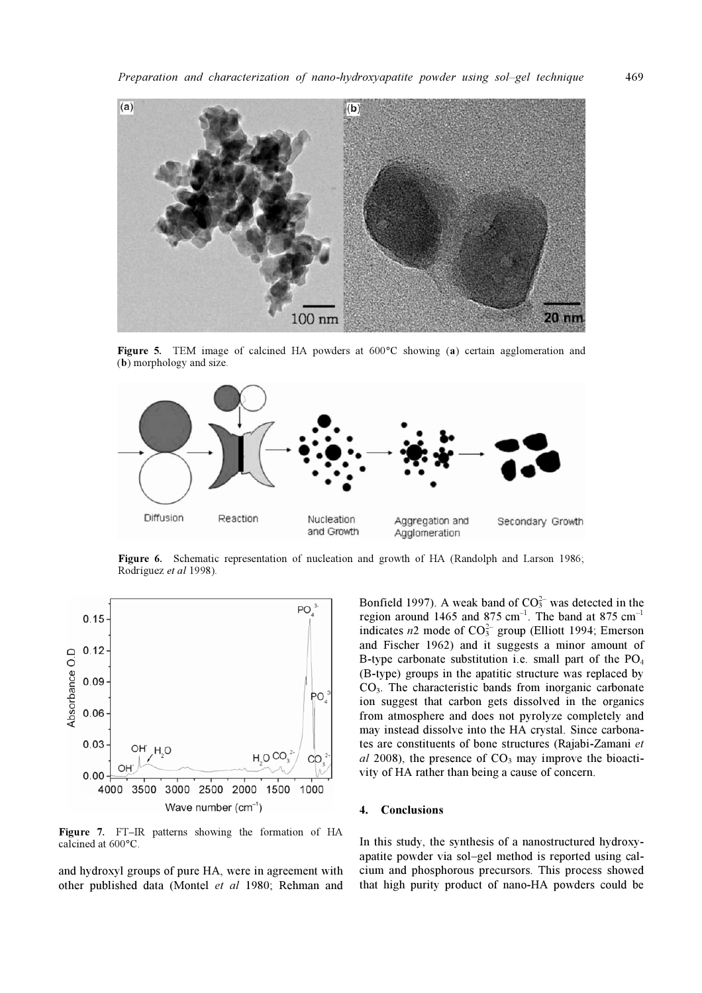

Figure 5. TEM image of calcined HA powders at 600°C showing (a) certain agglomeration and (b) morphology and size.



Figure 6. Schematic representation of nucleation and growth of HA (Randolph and Larson 1986; Rodríguez et al 1998).



Figure 7. FT–IR patterns showing the formation of HA calcined at 600°C.

and hydroxyl groups of pure HA, were in agreement with other published data (Montel et al 1980; Rehman and

Bonfield 1997). A weak band of  $CO<sub>3</sub><sup>2</sup>$  was detected in the region around 1465 and 875 cm<sup>-1</sup>. The band at 875 cm<sup>-1</sup> indicates  $n2$  mode of  $CO<sub>3</sub><sup>2</sup>$  group (Elliott 1994; Emerson and Fischer 1962) and it suggests a minor amount of B-type carbonate substitution i.e. small part of the  $PO<sub>4</sub>$ (B-type) groups in the apatitic structure was replaced by CO3. The characteristic bands from inorganic carbonate ion suggest that carbon gets dissolved in the organics from atmosphere and does not pyrolyze completely and may instead dissolve into the HA crystal. Since carbonates are constituents of bone structures (Rajabi-Zamani et al 2008), the presence of  $CO<sub>3</sub>$  may improve the bioactivity of HA rather than being a cause of concern.

#### 4. Conclusions

In this study, the synthesis of a nanostructured hydroxyapatite powder via sol–gel method is reported using calcium and phosphorous precursors. This process showed that high purity product of nano-HA powders could be